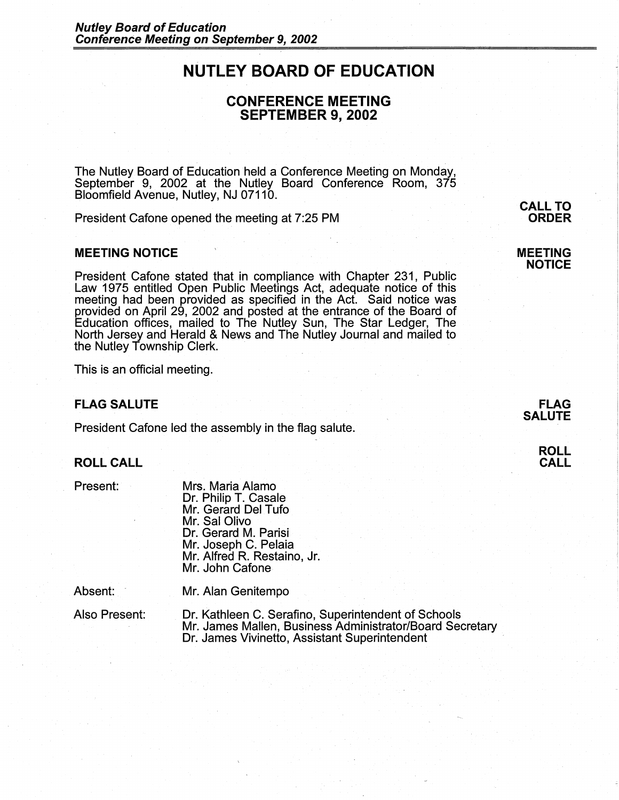# **NUTLEY BOARD OF EDUCATION**

# **CONFERENCE MEETING SEPTEMBER 9, 2002**

The Nutley Board of Education held a Conference Meeting on Monday, September 9, 2002 at the Nutley Board Conference Room, 375 Bloomfield Avenue, Nutley, NJ 07110.

President Cafone opened the meeting at 7:25 PM

## **MEETING NOTICE**

President Cafone stated that in compliance with Chapter 231, Public Law 1975 entitled Open Public Meetings Act, adequate notice of this meeting had been provided as specified in the Act. Said notice was provided on April 29, 2002 and posted at the entrance of the Board of Education offices, mailed to The Nutley Sun, The Star Ledger, The North Jersey and Herald & News and The Nutley Journal and mailed to the Nutley Township Clerk.

This is an official meeting.

#### **FLAG SALUTE**

President Cafone led the assembly in the flag salute.

## **ROLL CALL**

Present:

Mrs. Maria Alamo Dr. Philip T. Casale Mr. Gerard Del Tufo Mr. Sal Olivo Dr. Gerard M. Parisi Mr. Joseph C. Pelaia Mr. Alfred R. Restaino, Jr. Mr. John Cafone

Absent:

Mr. Alan Genitempo

Also Present:

Dr. Kathleen C. Serafino, Superintendent of Schools Mr. James Mallen, Business Administrator/Board Secretary Dr. James Vivinetto, Assistant Superintendent

**ORDER** 

**MEETING NOTICE** 

**CALL TO** 



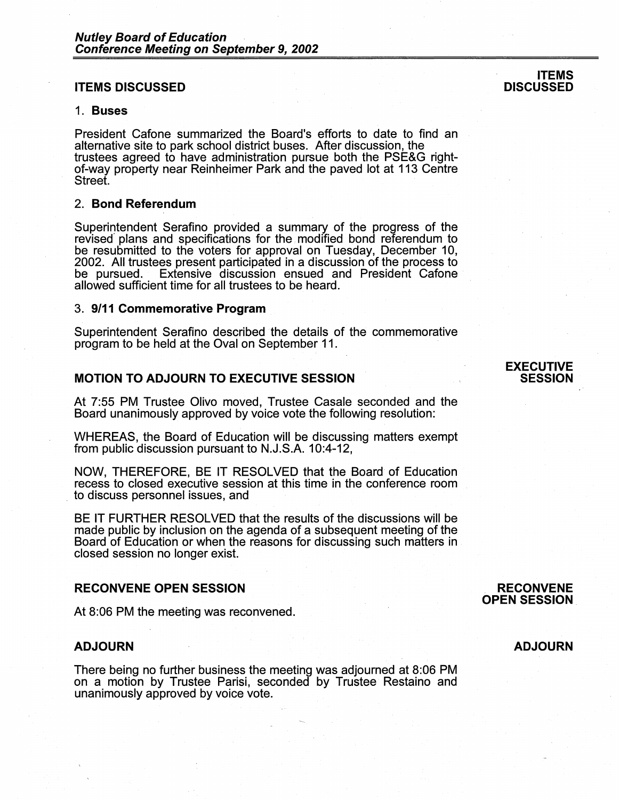### **ITEMS DISCUSSED**

#### 1. **Buses**

President Cafone summarized the Board's efforts to date to find an alternative site to park school district buses. After discussion, the trustees agreed to have administration pursue both the PSE&G rightof-way property near Reinheimer Park and the paved lot at 113 Centre Street.

#### 2. **Bond Referendum**

Superintendent Serafino provided a summary of the progress of the revised plans and specifications for the modified bond referendum to be resubmitted to the voters for approval on Tuesday, December 10, 2002. All trustees present participated in a discussion of the process to be pursued. Extensive discussion ensued and President Cafone Extensive discussion ensued and President Cafone allowed sufficient time for all trustees to be heard.

#### 3. **9/11 Commemorative Program**

Superintendent Serafino described the details of the commemorative program to be held at the Oval on September 11.

# **MOTION TO ADJOURN TO EXECUTIVE SESSION**

At 7:55 PM Trustee Olivo moved, Trustee Casale seconded and the Board unanimously approved by voice vote the following resolution:

WHEREAS, the Board of Education will be discussing matters exempt from public discussion pursuant to N.J.S.A. 10:4-12,

NOW, THEREFORE, BE IT RESOLVED that the Board of Education recess to closed executive session at this time in the conference room to discuss personnel issues, and

BE IT FURTHER RESOLVED that the results of the discussions will be made public by inclusion on the agenda of a subsequent meeting of the Board of Education or when the reasons for discussing such matters in closed session no longer exist.

#### **RECONVENE OPEN SESSION**

At 8:06 PM the meeting was reconvened.

## **ADJOURN**

There being no further business the meeting was adjourned at 8:06 PM on a motion by Trustee Parisi, seconded by Trustee Restaino and unanimously approved by voice vote.

#### **RECONVENE OPEN SESSION**

#### **ADJOURN**

#### **ITEMS DISCUSSED**